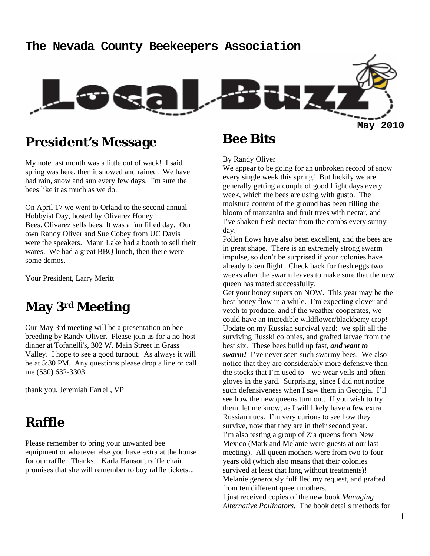#### **The Nevada County Beekeepers Association**



### **President's Message**

My note last month was a little out of wack! I said spring was here, then it snowed and rained. We have had rain, snow and sun every few days. I'm sure the bees like it as much as we do.

On April 17 we went to Orland to the second annual Hobbyist Day, hosted by Olivarez Honey Bees. Olivarez sells bees. It was a fun filled day. Our own Randy Oliver and Sue Cobey from UC Davis were the speakers. Mann Lake had a booth to sell their wares. We had a great BBQ lunch, then there were some demos.

Your President, Larry Meritt

## **May 3rd Meeting**

Our May 3rd meeting will be a presentation on bee breeding by Randy Oliver. Please join us for a no-host dinner at Tofanelli's, 302 W. Main Street in Grass Valley. I hope to see a good turnout. As always it will be at 5:30 PM. Any questions please drop a line or call me (530) 632-3303

thank you, Jeremiah Farrell, VP

### **Raffle**

Please remember to bring your unwanted bee equipment or whatever else you have extra at the house for our raffle. Thanks. Karla Hanson, raffle chair, promises that she will remember to buy raffle tickets...

### **Bee Bits**

By Randy Oliver

We appear to be going for an unbroken record of snow every single week this spring! But luckily we are generally getting a couple of good flight days every week, which the bees are using with gusto. The moisture content of the ground has been filling the bloom of manzanita and fruit trees with nectar, and I've shaken fresh nectar from the combs every sunny day.

Pollen flows have also been excellent, and the bees are in great shape. There is an extremely strong swarm impulse, so don't be surprised if your colonies have already taken flight. Check back for fresh eggs two weeks after the swarm leaves to make sure that the new queen has mated successfully.

Get your honey supers on NOW. This year may be the best honey flow in a while. I'm expecting clover and vetch to produce, and if the weather cooperates, we could have an incredible wildflower/blackberry crop! Update on my Russian survival yard: we split all the surviving Russki colonies, and grafted larvae from the best six. These bees build up fast, *and want to swarm!* I've never seen such swarmy bees. We also notice that they are considerably more defensive than the stocks that I'm used to—we wear veils and often gloves in the yard. Surprising, since I did not notice such defensiveness when I saw them in Georgia. I'll see how the new queens turn out. If you wish to try them, let me know, as I will likely have a few extra Russian nucs. I'm very curious to see how they survive, now that they are in their second year. I'm also testing a group of Zia queens from New Mexico (Mark and Melanie were guests at our last meeting). All queen mothers were from two to four years old (which also means that their colonies survived at least that long without treatments)! Melanie generously fulfilled my request, and grafted from ten different queen mothers. I just received copies of the new book *Managing Alternative Pollinators.* The book details methods for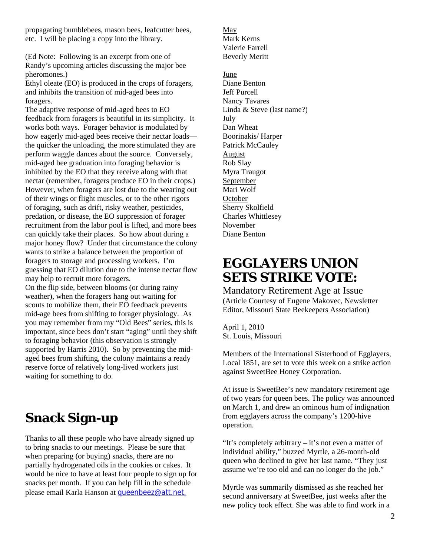propagating bumblebees, mason bees, leafcutter bees, etc. I will be placing a copy into the library.

(Ed Note: Following is an excerpt from one of Randy's upcoming articles discussing the major bee pheromones.)

Ethyl oleate (EO) is produced in the crops of foragers, and inhibits the transition of mid-aged bees into foragers.

The adaptive response of mid-aged bees to EO feedback from foragers is beautiful in its simplicity. It works both ways. Forager behavior is modulated by how eagerly mid-aged bees receive their nectar loads the quicker the unloading, the more stimulated they are perform waggle dances about the source. Conversely, mid-aged bee graduation into foraging behavior is inhibited by the EO that they receive along with that nectar (remember, foragers produce EO in their crops.) However, when foragers are lost due to the wearing out of their wings or flight muscles, or to the other rigors of foraging, such as drift, risky weather, pesticides, predation, or disease, the EO suppression of forager recruitment from the labor pool is lifted, and more bees can quickly take their places. So how about during a major honey flow? Under that circumstance the colony wants to strike a balance between the proportion of foragers to storage and processing workers. I'm guessing that EO dilution due to the intense nectar flow may help to recruit more foragers.

On the flip side, between blooms (or during rainy weather), when the foragers hang out waiting for scouts to mobilize them, their EO feedback prevents mid-age bees from shifting to forager physiology. As you may remember from my "Old Bees" series, this is important, since bees don't start "aging" until they shift to foraging behavior (this observation is strongly supported by Harris 2010). So by preventing the midaged bees from shifting, the colony maintains a ready reserve force of relatively long-lived workers just waiting for something to do.

# **Snack Sign-up**

Thanks to all these people who have already signed up to bring snacks to our meetings. Please be sure that when preparing (or buying) snacks, there are no partially hydrogenated oils in the cookies or cakes. It would be nice to have at least four people to sign up for snacks per month. If you can help fill in the schedule please email Karla Hanson at **queenbeez@att.net**.

May Mark Kerns Valerie Farrell Beverly Meritt

June Diane Benton Jeff Purcell Nancy Tavares Linda & Steve (last name?) July Dan Wheat Boorinakis/ Harper Patrick McCauley August Rob Slay Myra Traugot September Mari Wolf **October** Sherry Skolfield Charles Whittlesey November Diane Benton

# **EGGLAYERS UNION SETS STRIKE VOTE:**

Mandatory Retirement Age at Issue (Article Courtesy of Eugene Makovec, Newsletter Editor, Missouri State Beekeepers Association)

April 1, 2010 St. Louis, Missouri

Members of the International Sisterhood of Egglayers, Local 1851, are set to vote this week on a strike action against SweetBee Honey Corporation.

At issue is SweetBee's new mandatory retirement age of two years for queen bees. The policy was announced on March 1, and drew an ominous hum of indignation from egglayers across the company's 1200-hive operation.

"It's completely arbitrary – it's not even a matter of individual ability," buzzed Myrtle, a 26-month-old queen who declined to give her last name. "They just assume we're too old and can no longer do the job."

Myrtle was summarily dismissed as she reached her second anniversary at SweetBee, just weeks after the new policy took effect. She was able to find work in a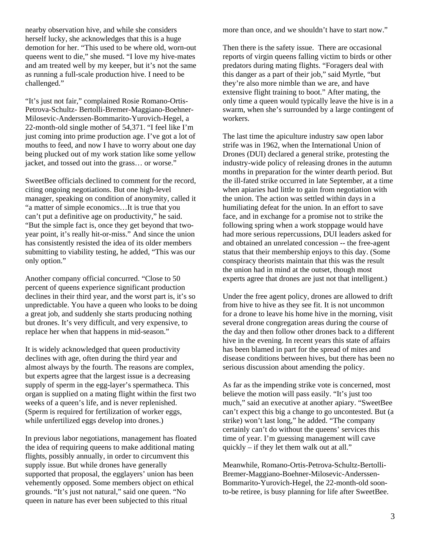nearby observation hive, and while she considers herself lucky, she acknowledges that this is a huge demotion for her. "This used to be where old, worn-out queens went to die," she mused. "I love my hive-mates and am treated well by my keeper, but it's not the same as running a full-scale production hive. I need to be challenged."

"It's just not fair," complained Rosie Romano-Ortis-Petrova-Schultz- Bertolli-Bremer-Maggiano-Boehner-Milosevic-Anderssen-Bommarito-Yurovich-Hegel, a 22-month-old single mother of 54,371. "I feel like I'm just coming into prime production age. I've got a lot of mouths to feed, and now I have to worry about one day being plucked out of my work station like some yellow jacket, and tossed out into the grass… or worse."

SweetBee officials declined to comment for the record, citing ongoing negotiations. But one high-level manager, speaking on condition of anonymity, called it "a matter of simple economics…It is true that you can't put a definitive age on productivity," he said. "But the simple fact is, once they get beyond that twoyear point, it's really hit-or-miss." And since the union has consistently resisted the idea of its older members submitting to viability testing, he added, "This was our only option."

Another company official concurred. "Close to 50 percent of queens experience significant production declines in their third year, and the worst part is, it's so unpredictable. You have a queen who looks to be doing a great job, and suddenly she starts producing nothing but drones. It's very difficult, and very expensive, to replace her when that happens in mid-season."

It is widely acknowledged that queen productivity declines with age, often during the third year and almost always by the fourth. The reasons are complex, but experts agree that the largest issue is a decreasing supply of sperm in the egg-layer's spermatheca. This organ is supplied on a mating flight within the first two weeks of a queen's life, and is never replenished. (Sperm is required for fertilization of worker eggs, while unfertilized eggs develop into drones.)

In previous labor negotiations, management has floated the idea of requiring queens to make additional mating flights, possibly annually, in order to circumvent this supply issue. But while drones have generally supported that proposal, the egglayers' union has been vehemently opposed. Some members object on ethical grounds. "It's just not natural," said one queen. "No queen in nature has ever been subjected to this ritual

more than once, and we shouldn't have to start now."

Then there is the safety issue. There are occasional reports of virgin queens falling victim to birds or other predators during mating flights. "Foragers deal with this danger as a part of their job," said Myrtle, "but they're also more nimble than we are, and have extensive flight training to boot." After mating, the only time a queen would typically leave the hive is in a swarm, when she's surrounded by a large contingent of workers.

The last time the apiculture industry saw open labor strife was in 1962, when the International Union of Drones (DUI) declared a general strike, protesting the industry-wide policy of releasing drones in the autumn months in preparation for the winter dearth period. But the ill-fated strike occurred in late September, at a time when apiaries had little to gain from negotiation with the union. The action was settled within days in a humiliating defeat for the union. In an effort to save face, and in exchange for a promise not to strike the following spring when a work stoppage would have had more serious repercussions, DUI leaders asked for and obtained an unrelated concession -- the free-agent status that their membership enjoys to this day. (Some conspiracy theorists maintain that this was the result the union had in mind at the outset, though most experts agree that drones are just not that intelligent.)

Under the free agent policy, drones are allowed to drift from hive to hive as they see fit. It is not uncommon for a drone to leave his home hive in the morning, visit several drone congregation areas during the course of the day and then follow other drones back to a different hive in the evening. In recent years this state of affairs has been blamed in part for the spread of mites and disease conditions between hives, but there has been no serious discussion about amending the policy.

As far as the impending strike vote is concerned, most believe the motion will pass easily. "It's just too much," said an executive at another apiary. "SweetBee can't expect this big a change to go uncontested. But (a strike) won't last long," he added. "The company certainly can't do without the queens' services this time of year. I'm guessing management will cave quickly – if they let them walk out at all."

Meanwhile, Romano-Ortis-Petrova-Schultz-Bertolli-Bremer-Maggiano-Boehner-Milosevic-Anderssen-Bommarito-Yurovich-Hegel, the 22-month-old soonto-be retiree, is busy planning for life after SweetBee.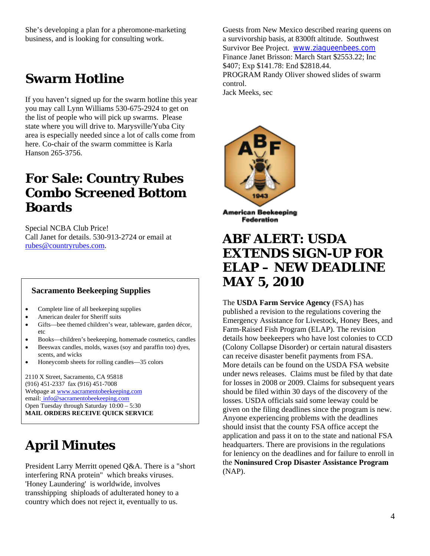She's developing a plan for a pheromone-marketing business, and is looking for consulting work.

## **Swarm Hotline**

If you haven't signed up for the swarm hotline this year you may call Lynn Williams 530-675-2924 to get on the list of people who will pick up swarms. Please state where you will drive to. Marysville/Yuba City area is especially needed since a lot of calls come from here. Co-chair of the swarm committee is Karla Hanson 265-3756.

## **For Sale: Country Rubes Combo Screened Bottom Boards**

Special NCBA Club Price! Call Janet for details. 530-913-2724 or email at rubes@countryrubes.com.

#### **Sacramento Beekeeping Supplies**

- Complete line of all beekeeping supplies
- American dealer for Sheriff suits
- Gifts—bee themed children's wear, tableware, garden décor, etc
- Books—children's beekeeping, homemade cosmetics, candles
- Beeswax candles, molds, waxes (soy and paraffin too) dyes, scents, and wicks
- Honeycomb sheets for rolling candles—35 colors

2110 X Street, Sacramento, CA 95818 (916) 451-2337 fax (916) 451-7008 Webpage at www.sacramentobeekeeping.com email: info@sacramentobeekeeping.com Open Tuesday through Saturday 10:00 – 5:30 **MAIL ORDERS RECEIVE QUICK SERVICE** 

# **April Minutes**

President Larry Merritt opened Q&A. There is a "short interfering RNA protein" which breaks viruses. 'Honey Laundering' is worldwide, involves transshipping shiploads of adulterated honey to a country which does not reject it, eventually to us.

Guests from New Mexico described rearing queens on a survivorship basis, at 8300ft altitude. Southwest Survivor Bee Project. www.ziaqueenbees.com Finance Janet Brisson: March Start \$2553.22; Inc \$407; Exp \$141.78: End \$2818.44. PROGRAM Randy Oliver showed slides of swarm control. Jack Meeks, sec



**American Beekeeping** Federation

## **ABF ALERT: USDA EXTENDS SIGN-UP FOR ELAP – NEW DEADLINE MAY 5, 2010**

The **USDA Farm Service Agency** (FSA) has published a revision to the regulations covering the Emergency Assistance for Livestock, Honey Bees, and Farm-Raised Fish Program (ELAP). The revision details how beekeepers who have lost colonies to CCD (Colony Collapse Disorder) or certain natural disasters can receive disaster benefit payments from FSA. More details can be found on the USDA FSA website under news releases. Claims must be filed by that date for losses in 2008 or 2009. Claims for subsequent years should be filed within 30 days of the discovery of the losses. USDA officials said some leeway could be given on the filing deadlines since the program is new. Anyone experiencing problems with the deadlines should insist that the county FSA office accept the application and pass it on to the state and national FSA headquarters. There are provisions in the regulations for leniency on the deadlines and for failure to enroll in the **Noninsured Crop Disaster Assistance Program** (NAP).